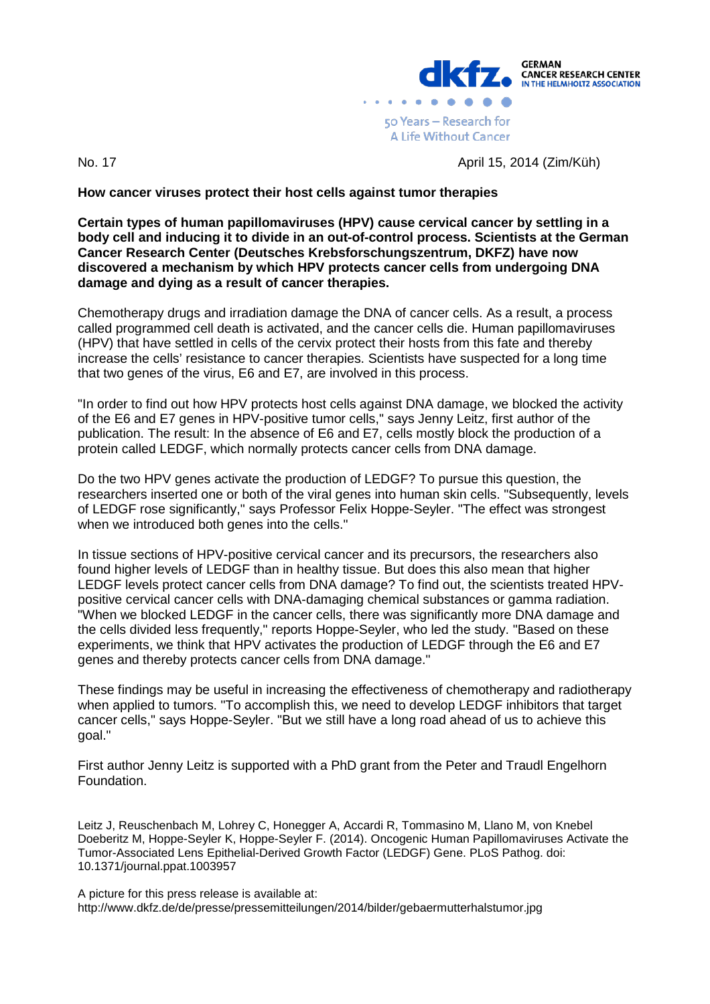

No. 17 April 15, 2014 (Zim/Küh)

**How cancer viruses protect their host cells against tumor therapies**

**Certain types of human papillomaviruses (HPV) cause cervical cancer by settling in a body cell and inducing it to divide in an out-of-control process. Scientists at the German Cancer Research Center (Deutsches Krebsforschungszentrum, DKFZ) have now discovered a mechanism by which HPV protects cancer cells from undergoing DNA damage and dying as a result of cancer therapies.** 

Chemotherapy drugs and irradiation damage the DNA of cancer cells. As a result, a process called programmed cell death is activated, and the cancer cells die. Human papillomaviruses (HPV) that have settled in cells of the cervix protect their hosts from this fate and thereby increase the cells' resistance to cancer therapies. Scientists have suspected for a long time that two genes of the virus, E6 and E7, are involved in this process.

"In order to find out how HPV protects host cells against DNA damage, we blocked the activity of the E6 and E7 genes in HPV-positive tumor cells," says Jenny Leitz, first author of the publication. The result: In the absence of E6 and E7, cells mostly block the production of a protein called LEDGF, which normally protects cancer cells from DNA damage.

Do the two HPV genes activate the production of LEDGF? To pursue this question, the researchers inserted one or both of the viral genes into human skin cells. "Subsequently, levels of LEDGF rose significantly," says Professor Felix Hoppe-Seyler. "The effect was strongest when we introduced both genes into the cells."

In tissue sections of HPV-positive cervical cancer and its precursors, the researchers also found higher levels of LEDGF than in healthy tissue. But does this also mean that higher LEDGF levels protect cancer cells from DNA damage? To find out, the scientists treated HPVpositive cervical cancer cells with DNA-damaging chemical substances or gamma radiation. "When we blocked LEDGF in the cancer cells, there was significantly more DNA damage and the cells divided less frequently," reports Hoppe-Seyler, who led the study. "Based on these experiments, we think that HPV activates the production of LEDGF through the E6 and E7 genes and thereby protects cancer cells from DNA damage."

These findings may be useful in increasing the effectiveness of chemotherapy and radiotherapy when applied to tumors. "To accomplish this, we need to develop LEDGF inhibitors that target cancer cells," says Hoppe-Seyler. "But we still have a long road ahead of us to achieve this goal."

First author Jenny Leitz is supported with a PhD grant from the Peter and Traudl Engelhorn Foundation.

Leitz J, Reuschenbach M, Lohrey C, Honegger A, Accardi R, Tommasino M, Llano M, von Knebel Doeberitz M, Hoppe-Seyler K, Hoppe-Seyler F. (2014). Oncogenic Human Papillomaviruses Activate the Tumor-Associated Lens Epithelial-Derived Growth Factor (LEDGF) Gene. PLoS Pathog. doi: 10.1371/journal.ppat.1003957

A picture for this press release is available at: http://www.dkfz.de/de/presse/pressemitteilungen/2014/bilder/gebaermutterhalstumor.jpg